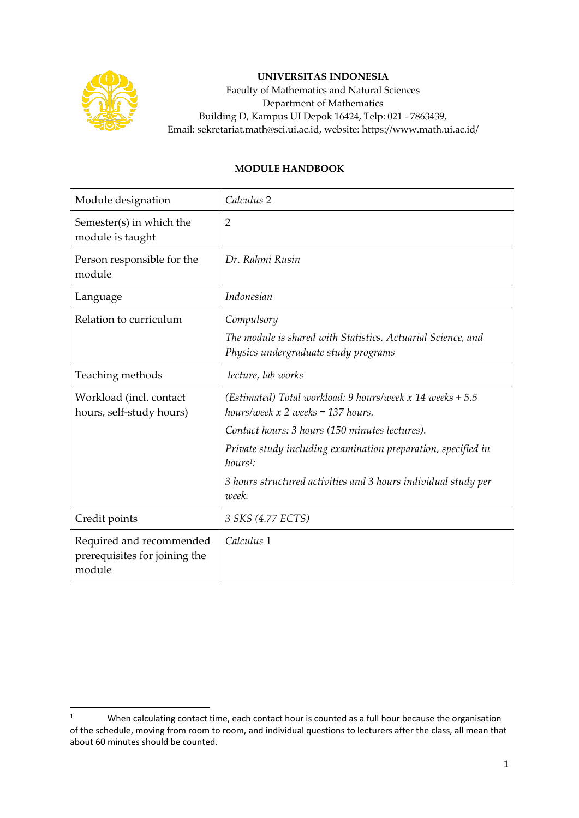

## **UNIVERSITAS INDONESIA**

Faculty of Mathematics and Natural Sciences Department of Mathematics Building D, Kampus UI Depok 16424, Telp: 021 - 7863439, Email: sekretariat.math@sci.ui.ac.id, website: https://www.math.ui.ac.id/

## **MODULE HANDBOOK**

| Module designation                                                  | Calculus <sub>2</sub>                                                                                |
|---------------------------------------------------------------------|------------------------------------------------------------------------------------------------------|
| Semester(s) in which the<br>module is taught                        | 2                                                                                                    |
| Person responsible for the<br>module                                | Dr. Rahmi Rusin                                                                                      |
| Language                                                            | Indonesian                                                                                           |
| Relation to curriculum                                              | Compulsory                                                                                           |
|                                                                     | The module is shared with Statistics, Actuarial Science, and<br>Physics undergraduate study programs |
| Teaching methods                                                    | lecture, lab works                                                                                   |
| Workload (incl. contact<br>hours, self-study hours)                 | (Estimated) Total workload: 9 hours/week $x$ 14 weeks + 5.5<br>hours/week $x$ 2 weeks = 137 hours.   |
|                                                                     | Contact hours: 3 hours (150 minutes lectures).                                                       |
|                                                                     | Private study including examination preparation, specified in<br>$hours1$ :                          |
|                                                                     | 3 hours structured activities and 3 hours individual study per<br>week.                              |
| Credit points                                                       | 3 SKS (4.77 ECTS)                                                                                    |
| Required and recommended<br>prerequisites for joining the<br>module | Calculus 1                                                                                           |

<sup>&</sup>lt;sup>1</sup> When calculating contact time, each contact hour is counted as a full hour because the organisation of the schedule, moving from room to room, and individual questions to lecturers after the class, all mean that about 60 minutes should be counted.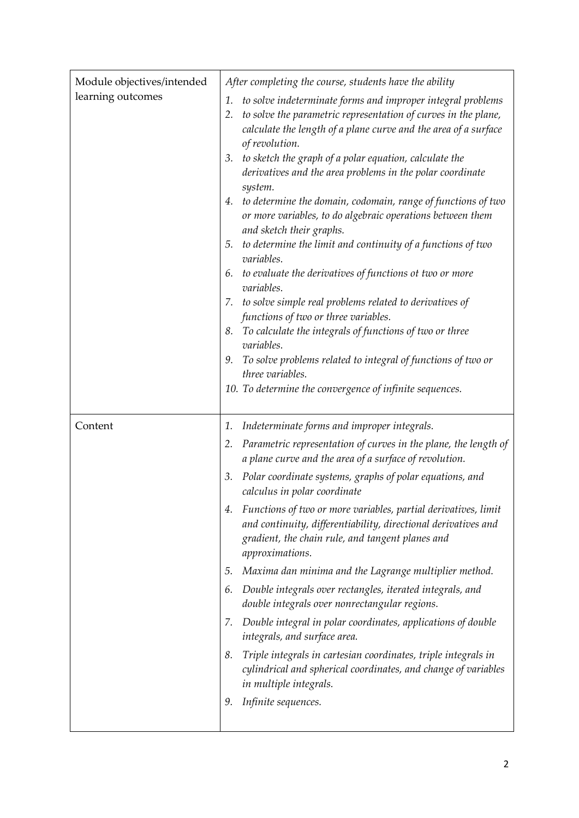| Module objectives/intended | After completing the course, students have the ability                                                                                                                                                                                                                                                                                                                                                                                                                                                                                                                                                                                                                                                                                                                                                                                                                                                                                                                                                                                       |
|----------------------------|----------------------------------------------------------------------------------------------------------------------------------------------------------------------------------------------------------------------------------------------------------------------------------------------------------------------------------------------------------------------------------------------------------------------------------------------------------------------------------------------------------------------------------------------------------------------------------------------------------------------------------------------------------------------------------------------------------------------------------------------------------------------------------------------------------------------------------------------------------------------------------------------------------------------------------------------------------------------------------------------------------------------------------------------|
| learning outcomes          | to solve indeterminate forms and improper integral problems<br>1.<br>to solve the parametric representation of curves in the plane,<br>2.<br>calculate the length of a plane curve and the area of a surface<br>of revolution.<br>to sketch the graph of a polar equation, calculate the<br>3.<br>derivatives and the area problems in the polar coordinate<br>system.<br>to determine the domain, codomain, range of functions of two<br>4.<br>or more variables, to do algebraic operations between them<br>and sketch their graphs.<br>5. to determine the limit and continuity of a functions of two<br>variables.<br>6. to evaluate the derivatives of functions ot two or more<br>variables.<br>7. to solve simple real problems related to derivatives of<br>functions of two or three variables.<br>To calculate the integrals of functions of two or three<br>8.<br>variables.<br>To solve problems related to integral of functions of two or<br>9.<br>three variables.<br>10. To determine the convergence of infinite sequences. |
| Content                    | Indeterminate forms and improper integrals.<br>1.                                                                                                                                                                                                                                                                                                                                                                                                                                                                                                                                                                                                                                                                                                                                                                                                                                                                                                                                                                                            |
|                            | Parametric representation of curves in the plane, the length of<br>2.<br>a plane curve and the area of a surface of revolution.                                                                                                                                                                                                                                                                                                                                                                                                                                                                                                                                                                                                                                                                                                                                                                                                                                                                                                              |
|                            | Polar coordinate systems, graphs of polar equations, and<br>3.<br>calculus in polar coordinate                                                                                                                                                                                                                                                                                                                                                                                                                                                                                                                                                                                                                                                                                                                                                                                                                                                                                                                                               |
|                            | 4. Functions of two or more variables, partial derivatives, limit<br>and continuity, differentiability, directional derivatives and<br>gradient, the chain rule, and tangent planes and<br>approximations.                                                                                                                                                                                                                                                                                                                                                                                                                                                                                                                                                                                                                                                                                                                                                                                                                                   |
|                            | Maxima dan minima and the Lagrange multiplier method.<br>5.                                                                                                                                                                                                                                                                                                                                                                                                                                                                                                                                                                                                                                                                                                                                                                                                                                                                                                                                                                                  |
|                            | 6. Double integrals over rectangles, iterated integrals, and<br>double integrals over nonrectangular regions.                                                                                                                                                                                                                                                                                                                                                                                                                                                                                                                                                                                                                                                                                                                                                                                                                                                                                                                                |
|                            | Double integral in polar coordinates, applications of double<br>7.<br>integrals, and surface area.                                                                                                                                                                                                                                                                                                                                                                                                                                                                                                                                                                                                                                                                                                                                                                                                                                                                                                                                           |
|                            | Triple integrals in cartesian coordinates, triple integrals in<br>8.<br>cylindrical and spherical coordinates, and change of variables<br>in multiple integrals.                                                                                                                                                                                                                                                                                                                                                                                                                                                                                                                                                                                                                                                                                                                                                                                                                                                                             |
|                            | Infinite sequences.<br>9.                                                                                                                                                                                                                                                                                                                                                                                                                                                                                                                                                                                                                                                                                                                                                                                                                                                                                                                                                                                                                    |